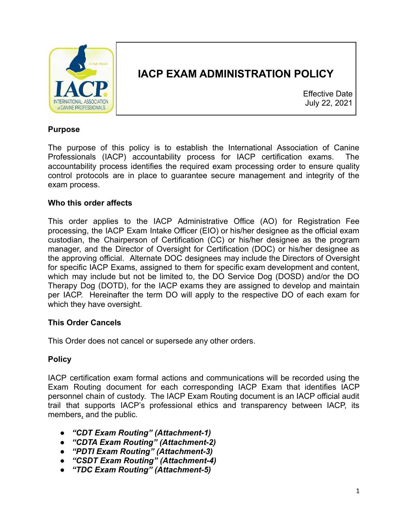

### **IACP EXAM ADMINISTRATION POLICY**

Effective Date July 22, 2021

#### **Purpose**

The purpose of this policy is to establish the International Association of Canine Professionals (IACP) accountability process for IACP certification exams. The accountability process identifies the required exam processing order to ensure quality control protocols are in place to guarantee secure management and integrity of the exam process.

#### **Who this order affects**

This order applies to the IACP Administrative Office (AO) for Registration Fee processing, the IACP Exam Intake Officer (EIO) or his/her designee as the official exam custodian, the Chairperson of Certification (CC) or his/her designee as the program manager, and the Director of Oversight for Certification (DOC) or his/her designee as the approving official. Alternate DOC designees may include the Directors of Oversight for specific IACP Exams, assigned to them for specific exam development and content, which may include but not be limited to, the DO Service Dog (DOSD) and/or the DO Therapy Dog (DOTD), for the IACP exams they are assigned to develop and maintain per IACP. Hereinafter the term DO will apply to the respective DO of each exam for which they have oversight.

#### **This Order Cancels**

This Order does not cancel or supersede any other orders.

#### **Policy**

IACP certification exam formal actions and communications will be recorded using the Exam Routing document for each corresponding IACP Exam that identifies IACP personnel chain of custody. The IACP Exam Routing document is an IACP official audit trail that supports IACP's professional ethics and transparency between IACP, its members, and the public.

- *"CDT Exam Routing" (Attachment-1)*
- *"CDTA Exam Routing" (Attachment-2)*
- *"PDTI Exam Routing" (Attachment-3)*
- *"CSDT Exam Routing" (Attachment-4)*
- *"TDC Exam Routing" (Attachment-5)*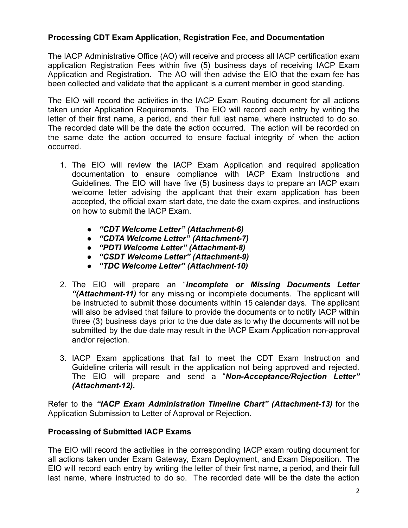#### **Processing CDT Exam Application, Registration Fee, and Documentation**

The IACP Administrative Office (AO) will receive and process all IACP certification exam application Registration Fees within five (5) business days of receiving IACP Exam Application and Registration. The AO will then advise the EIO that the exam fee has been collected and validate that the applicant is a current member in good standing.

The EIO will record the activities in the IACP Exam Routing document for all actions taken under Application Requirements. The EIO will record each entry by writing the letter of their first name, a period, and their full last name, where instructed to do so. The recorded date will be the date the action occurred. The action will be recorded on the same date the action occurred to ensure factual integrity of when the action occurred.

- 1. The EIO will review the IACP Exam Application and required application documentation to ensure compliance with IACP Exam Instructions and Guidelines. The EIO will have five (5) business days to prepare an IACP exam welcome letter advising the applicant that their exam application has been accepted, the official exam start date, the date the exam expires, and instructions on how to submit the IACP Exam.
	- *"CDT Welcome Letter" (Attachment-6)*
	- *"CDTA Welcome Letter" (Attachment-7)*
	- *"PDTI Welcome Letter" (Attachment-8)*
	- *"CSDT Welcome Letter" (Attachment-9)*
	- *"TDC Welcome Letter" (Attachment-10)*
- 2. The EIO will prepare an "*Incomplete or Missing Documents Letter "(Attachment-11)* for any missing or incomplete documents. The applicant will be instructed to submit those documents within 15 calendar days. The applicant will also be advised that failure to provide the documents or to notify IACP within three (3) business days prior to the due date as to why the documents will not be submitted by the due date may result in the IACP Exam Application non-approval and/or rejection.
- 3. IACP Exam applications that fail to meet the CDT Exam Instruction and Guideline criteria will result in the application not being approved and rejected. The EIO will prepare and send a "*Non-Acceptance/Rejection Letter" (Attachment-12).*

Refer to the *"IACP Exam Administration Timeline Chart" (Attachment-13)* for the Application Submission to Letter of Approval or Rejection.

#### **Processing of Submitted IACP Exams**

The EIO will record the activities in the corresponding IACP exam routing document for all actions taken under Exam Gateway, Exam Deployment, and Exam Disposition. The EIO will record each entry by writing the letter of their first name, a period, and their full last name, where instructed to do so. The recorded date will be the date the action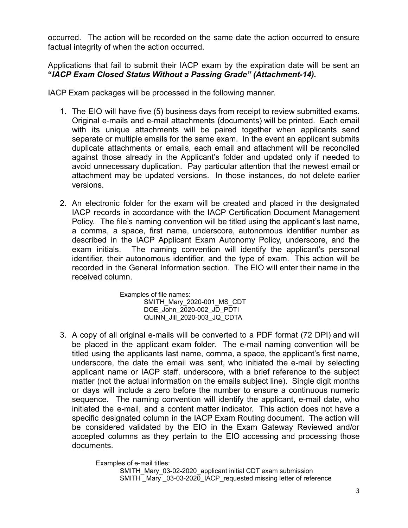occurred. The action will be recorded on the same date the action occurred to ensure factual integrity of when the action occurred.

Applications that fail to submit their IACP exam by the expiration date will be sent an **"***IACP Exam Closed Status Without a Passing Grade" (Attachment-14).*

IACP Exam packages will be processed in the following manner.

- 1. The EIO will have five (5) business days from receipt to review submitted exams. Original e-mails and e-mail attachments (documents) will be printed. Each email with its unique attachments will be paired together when applicants send separate or multiple emails for the same exam. In the event an applicant submits duplicate attachments or emails, each email and attachment will be reconciled against those already in the Applicant's folder and updated only if needed to avoid unnecessary duplication. Pay particular attention that the newest email or attachment may be updated versions. In those instances, do not delete earlier versions.
- 2. An electronic folder for the exam will be created and placed in the designated IACP records in accordance with the IACP Certification Document Management Policy. The file's naming convention will be titled using the applicant's last name, a comma, a space, first name, underscore, autonomous identifier number as described in the IACP Applicant Exam Autonomy Policy, underscore, and the exam initials. The naming convention will identify the applicant's personal identifier, their autonomous identifier, and the type of exam. This action will be recorded in the General Information section. The EIO will enter their name in the received column.

Examples of file names: SMITH\_Mary\_2020-001\_MS\_CDT DOE\_John\_2020-002\_JD\_PDTI QUINN\_Jill\_2020-003\_JQ\_CDTA

3. A copy of all original e-mails will be converted to a PDF format (72 DPI) and will be placed in the applicant exam folder. The e-mail naming convention will be titled using the applicants last name, comma, a space, the applicant's first name, underscore, the date the email was sent, who initiated the e-mail by selecting applicant name or IACP staff, underscore, with a brief reference to the subject matter (not the actual information on the emails subject line). Single digit months or days will include a zero before the number to ensure a continuous numeric sequence. The naming convention will identify the applicant, e-mail date, who initiated the e-mail, and a content matter indicator. This action does not have a specific designated column in the IACP Exam Routing document. The action will be considered validated by the EIO in the Exam Gateway Reviewed and/or accepted columns as they pertain to the EIO accessing and processing those documents.

> Examples of e-mail titles: SMITH\_Mary\_03-02-2020\_applicant initial CDT exam submission SMITH \_Mary \_03-03-2020\_IACP\_requested missing letter of reference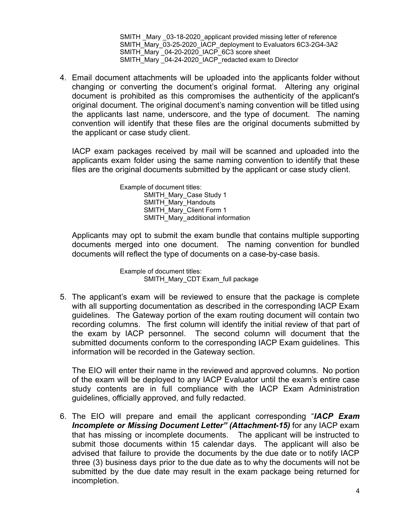SMITH Mary 03-18-2020 applicant provided missing letter of reference SMITH\_Mary\_03-25-2020\_IACP\_deployment to Evaluators 6C3-2G4-3A2 SMITH\_Mary 04-20-2020\_IACP\_6C3 score sheet SMITH\_Mary <sup>-</sup>04-24-2020\_IACP\_redacted exam to Director

4. Email document attachments will be uploaded into the applicants folder without changing or converting the document's original format. Altering any original document is prohibited as this compromises the authenticity of the applicant's original document. The original document's naming convention will be titled using the applicants last name, underscore, and the type of document. The naming convention will identify that these files are the original documents submitted by the applicant or case study client.

IACP exam packages received by mail will be scanned and uploaded into the applicants exam folder using the same naming convention to identify that these files are the original documents submitted by the applicant or case study client.

> Example of document titles: SMITH\_Mary\_Case Study 1 SMITH\_Mary\_Handouts SMITH\_Mary\_Client Form 1 SMITH\_Mary\_additional information

Applicants may opt to submit the exam bundle that contains multiple supporting documents merged into one document. The naming convention for bundled documents will reflect the type of documents on a case-by-case basis.

> Example of document titles: SMITH\_Mary\_CDT Exam\_full package

5. The applicant's exam will be reviewed to ensure that the package is complete with all supporting documentation as described in the corresponding IACP Exam guidelines. The Gateway portion of the exam routing document will contain two recording columns. The first column will identify the initial review of that part of the exam by IACP personnel. The second column will document that the submitted documents conform to the corresponding IACP Exam guidelines. This information will be recorded in the Gateway section.

The EIO will enter their name in the reviewed and approved columns. No portion of the exam will be deployed to any IACP Evaluator until the exam's entire case study contents are in full compliance with the IACP Exam Administration guidelines, officially approved, and fully redacted.

6. The EIO will prepare and email the applicant corresponding "*IACP Exam Incomplete or Missing Document Letter" (Attachment-15)* for any IACP exam that has missing or incomplete documents. The applicant will be instructed to submit those documents within 15 calendar days. The applicant will also be advised that failure to provide the documents by the due date or to notify IACP three (3) business days prior to the due date as to why the documents will not be submitted by the due date may result in the exam package being returned for incompletion.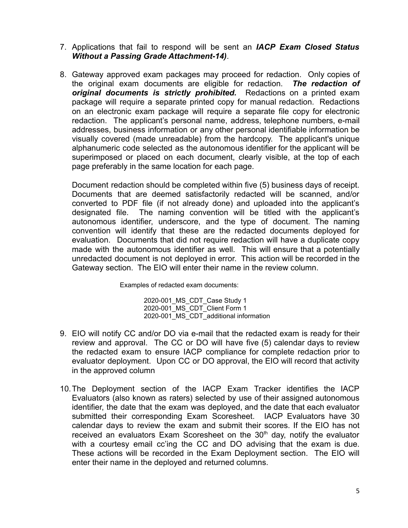- 7. Applications that fail to respond will be sent an *IACP Exam Closed Status Without a Passing Grade Attachment-14).*
- 8. Gateway approved exam packages may proceed for redaction. Only copies of the original exam documents are eligible for redaction. *The redaction of original documents is strictly prohibited.* Redactions on a printed exam package will require a separate printed copy for manual redaction. Redactions on an electronic exam package will require a separate file copy for electronic redaction. The applicant's personal name, address, telephone numbers, e-mail addresses, business information or any other personal identifiable information be visually covered (made unreadable) from the hardcopy. The applicant's unique alphanumeric code selected as the autonomous identifier for the applicant will be superimposed or placed on each document, clearly visible, at the top of each page preferably in the same location for each page.

Document redaction should be completed within five (5) business days of receipt. Documents that are deemed satisfactorily redacted will be scanned, and/or converted to PDF file (if not already done) and uploaded into the applicant's designated file. The naming convention will be titled with the applicant's autonomous identifier, underscore, and the type of document. The naming convention will identify that these are the redacted documents deployed for evaluation. Documents that did not require redaction will have a duplicate copy made with the autonomous identifier as well. This will ensure that a potentially unredacted document is not deployed in error. This action will be recorded in the Gateway section. The EIO will enter their name in the review column.

Examples of redacted exam documents:

2020-001\_MS\_CDT\_Case Study 1 2020-001\_MS\_CDT\_Client Form 1 2020-001\_MS\_CDT\_additional information

- 9. EIO will notify CC and/or DO via e-mail that the redacted exam is ready for their review and approval. The CC or DO will have five (5) calendar days to review the redacted exam to ensure IACP compliance for complete redaction prior to evaluator deployment. Upon CC or DO approval, the EIO will record that activity in the approved column
- 10.The Deployment section of the IACP Exam Tracker identifies the IACP Evaluators (also known as raters) selected by use of their assigned autonomous identifier, the date that the exam was deployed, and the date that each evaluator submitted their corresponding Exam Scoresheet. IACP Evaluators have 30 calendar days to review the exam and submit their scores. If the EIO has not received an evaluators Exam Scoresheet on the  $30<sup>th</sup>$  day, notify the evaluator with a courtesy email cc'ing the CC and DO advising that the exam is due. These actions will be recorded in the Exam Deployment section. The EIO will enter their name in the deployed and returned columns.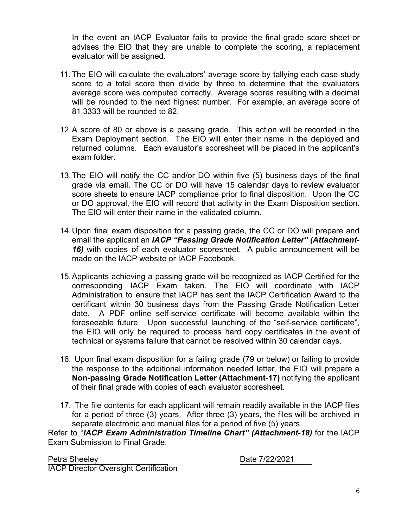In the event an IACP Evaluator fails to provide the final grade score sheet or advises the EIO that they are unable to complete the scoring, a replacement evaluator will be assigned.

- 11. The EIO will calculate the evaluators' average score by tallying each case study score to a total score then divide by three to determine that the evaluators average score was computed correctly. Average scores resulting with a decimal will be rounded to the next highest number. For example, an average score of 81.3333 will be rounded to 82.
- 12.A score of 80 or above is a passing grade. This action will be recorded in the Exam Deployment section. The EIO will enter their name in the deployed and returned columns. Each evaluator's scoresheet will be placed in the applicant's exam folder.
- 13.The EIO will notify the CC and/or DO within five (5) business days of the final grade via email. The CC or DO will have 15 calendar days to review evaluator score sheets to ensure IACP compliance prior to final disposition. Upon the CC or DO approval, the EIO will record that activity in the Exam Disposition section. The EIO will enter their name in the validated column.
- 14.Upon final exam disposition for a passing grade, the CC or DO will prepare and email the applicant an *IACP "Passing Grade Notification Letter" (Attachment-16)* with copies of each evaluator scoresheet. A public announcement will be made on the IACP website or IACP Facebook.
- 15.Applicants achieving a passing grade will be recognized as IACP Certified for the corresponding IACP Exam taken. The EIO will coordinate with IACP Administration to ensure that IACP has sent the IACP Certification Award to the certificant within 30 business days from the Passing Grade Notification Letter date. A PDF online self-service certificate will become available within the foreseeable future. Upon successful launching of the "self-service certificate", the EIO will only be required to process hard copy certificates in the event of technical or systems failure that cannot be resolved within 30 calendar days.
- 16. Upon final exam disposition for a failing grade (79 or below) or failing to provide the response to the additional information needed letter, the EIO will prepare a **Non-passing Grade Notification Letter (Attachment-17)** notifying the applicant of their final grade with copies of each evaluator scoresheet.
- 17. The file contents for each applicant will remain readily available in the IACP files for a period of three (3) years. After three (3) years, the files will be archived in separate electronic and manual files for a period of five (5) years.

Refer to "*IACP Exam Administration Timeline Chart" (Attachment-18)* for the IACP Exam Submission to Final Grade.

Petra Sheeley Date 7/22/2021 IACP Director Oversight Certification

6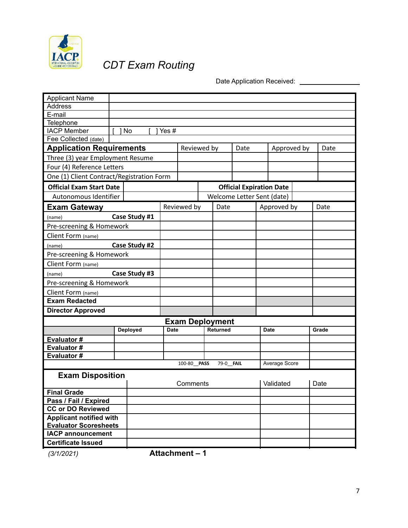

# *CDT Exam Routing*

Date Application Received: \_\_\_\_\_\_\_\_\_\_\_\_\_\_\_

| <b>Applicant Name</b>                                          |  |               |             |                        |                 |                                 |               |       |
|----------------------------------------------------------------|--|---------------|-------------|------------------------|-----------------|---------------------------------|---------------|-------|
| <b>Address</b>                                                 |  |               |             |                        |                 |                                 |               |       |
| E-mail                                                         |  |               |             |                        |                 |                                 |               |       |
| Telephone                                                      |  |               |             |                        |                 |                                 |               |       |
| <b>IACP Member</b>                                             |  | 1 No          | Yes #       |                        |                 |                                 |               |       |
| Fee Collected (date)                                           |  |               |             |                        |                 |                                 |               |       |
| <b>Application Requirements</b>                                |  |               |             | Reviewed by            |                 | Date                            | Approved by   | Date  |
| Three (3) year Employment Resume                               |  |               |             |                        |                 |                                 |               |       |
| Four (4) Reference Letters                                     |  |               |             |                        |                 |                                 |               |       |
| One (1) Client Contract/Registration Form                      |  |               |             |                        |                 |                                 |               |       |
| <b>Official Exam Start Date</b>                                |  |               |             |                        |                 | <b>Official Expiration Date</b> |               |       |
| Autonomous Identifier                                          |  |               |             |                        |                 | Welcome Letter Sent (date)      |               |       |
| <b>Exam Gateway</b>                                            |  |               |             | Reviewed by            | Date            |                                 | Approved by   | Date  |
| (name)                                                         |  | Case Study #1 |             |                        |                 |                                 |               |       |
| Pre-screening & Homework                                       |  |               |             |                        |                 |                                 |               |       |
| Client Form (name)                                             |  |               |             |                        |                 |                                 |               |       |
| Case Study #2<br>(name)                                        |  |               |             |                        |                 |                                 |               |       |
| Pre-screening & Homework                                       |  |               |             |                        |                 |                                 |               |       |
| Client Form (name)                                             |  |               |             |                        |                 |                                 |               |       |
| Case Study #3<br>(name)                                        |  |               |             |                        |                 |                                 |               |       |
| Pre-screening & Homework                                       |  |               |             |                        |                 |                                 |               |       |
| Client Form (name)                                             |  |               |             |                        |                 |                                 |               |       |
| <b>Exam Redacted</b>                                           |  |               |             |                        |                 |                                 |               |       |
| <b>Director Approved</b>                                       |  |               |             |                        |                 |                                 |               |       |
|                                                                |  |               |             | <b>Exam Deployment</b> |                 |                                 |               |       |
|                                                                |  | Deployed      | <b>Date</b> |                        | <b>Returned</b> |                                 | <b>Date</b>   | Grade |
| Evaluator#                                                     |  |               |             |                        |                 |                                 |               |       |
| Evaluator#                                                     |  |               |             |                        |                 |                                 |               |       |
| Evaluator#                                                     |  |               |             |                        |                 |                                 |               |       |
|                                                                |  |               |             | 100-80 PASS            | 79-0_FAIL       |                                 | Average Score |       |
| <b>Exam Disposition</b>                                        |  |               |             |                        |                 |                                 |               |       |
|                                                                |  |               |             | Comments               |                 |                                 | Validated     | Date  |
| <b>Final Grade</b>                                             |  |               |             |                        |                 |                                 |               |       |
| Pass / Fail / Expired                                          |  |               |             |                        |                 |                                 |               |       |
| <b>CC or DO Reviewed</b>                                       |  |               |             |                        |                 |                                 |               |       |
| <b>Applicant notified with</b><br><b>Evaluator Scoresheets</b> |  |               |             |                        |                 |                                 |               |       |
| <b>IACP announcement</b>                                       |  |               |             |                        |                 |                                 |               |       |
| <b>Certificate Issued</b>                                      |  |               |             |                        |                 |                                 |               |       |
|                                                                |  |               |             |                        |                 |                                 |               |       |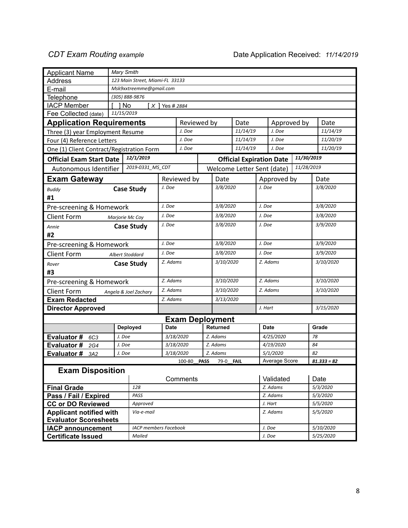| <b>Applicant Name</b>                                    |        | Mary Smith                      |             |                        |             |                  |                                 |        |               |            |               |
|----------------------------------------------------------|--------|---------------------------------|-------------|------------------------|-------------|------------------|---------------------------------|--------|---------------|------------|---------------|
| Address                                                  |        | 123 Main Street, Miami-FL 33133 |             |                        |             |                  |                                 |        |               |            |               |
| E-mail                                                   |        | Msk9xxtreemme@gmail.com         |             |                        |             |                  |                                 |        |               |            |               |
| Telephone                                                |        | (305) 888-9876                  |             |                        |             |                  |                                 |        |               |            |               |
| <b>IACP Member</b>                                       |        | 1 No                            |             |                        |             |                  |                                 |        |               |            |               |
| Fee Collected (date)<br>11/15/2019                       |        |                                 |             |                        |             |                  |                                 |        |               |            |               |
| <b>Application Requirements</b>                          |        |                                 |             | Reviewed by            |             |                  | Date                            |        | Approved by   |            | Date          |
| Three (3) year Employment Resume                         |        |                                 |             | J. Doe                 |             | 11/14/19         |                                 |        | J. Doe        |            | 11/14/19      |
| Four (4) Reference Letters                               |        |                                 |             | J. Doe                 |             |                  | 11/14/19                        |        | J. Doe        |            | 11/20/19      |
| One (1) Client Contract/Registration Form                |        |                                 |             | J. Doe                 |             |                  | 11/14/19                        |        | J. Doe        |            | 11/20/19      |
| <b>Official Exam Start Date</b>                          |        | 12/1/2019                       |             |                        |             |                  | <b>Official Expiration Date</b> |        |               | 11/30/2019 |               |
| Autonomous Identifier                                    |        | 2019-0331_MS_CDT                |             |                        |             |                  | Welcome Letter Sent (date)      |        |               | 11/28/2019 |               |
| <b>Exam Gateway</b>                                      |        |                                 |             | Reviewed by            |             | Date             |                                 |        | Approved by   |            | Date          |
| <b>Buddy</b>                                             |        | <b>Case Study</b>               | J. Doe      |                        |             | 3/8/2020         |                                 | J. Doe |               |            | 3/8/2020      |
| #1                                                       |        |                                 |             |                        |             |                  |                                 |        |               |            |               |
| Pre-screening & Homework                                 |        |                                 | J. Doe      |                        |             | 3/8/2020         |                                 | J. Doe |               |            | 3/8/2020      |
| <b>Client Form</b>                                       |        | Marjorie Mc Coy                 | J. Doe      |                        |             | 3/8/2020         |                                 | J. Doe |               |            | 3/8/2020      |
| Annie                                                    |        | <b>Case Study</b>               | J. Doe      |                        |             | 3/8/2020         |                                 | J. Doe |               |            | 3/9/2020      |
| #2                                                       |        |                                 |             |                        |             |                  |                                 |        |               |            |               |
| Pre-screening & Homework                                 |        |                                 |             |                        |             | 3/8/2020         |                                 | J. Doe |               |            | 3/9/2020      |
| <b>Client Form</b><br>Albert Stoddard                    |        |                                 | J. Doe      |                        |             | 3/8/2020         |                                 | J. Doe |               |            | 3/9/2020      |
| Rover                                                    |        | <b>Case Study</b>               | Z. Adams    |                        |             | 3/10/2020        |                                 |        | Z. Adams      |            | 3/10/2020     |
| #3                                                       |        |                                 |             |                        |             |                  |                                 |        |               |            |               |
| Pre-screening & Homework                                 |        |                                 | Z. Adams    |                        |             | 3/10/2020        |                                 |        | Z. Adams      |            | 3/10/2020     |
| <b>Client Form</b>                                       |        | Angela & Joel Zachary           | Z. Adams    |                        |             | 3/10/2020        |                                 |        | Z. Adams      |            | 3/10/2020     |
| <b>Exam Redacted</b>                                     |        |                                 | Z. Adams    |                        |             | 3/13/2020        |                                 |        |               |            |               |
| <b>Director Approved</b>                                 |        |                                 |             |                        |             |                  |                                 |        | J. Hart       |            | 3/15/2020     |
|                                                          |        |                                 |             | <b>Exam Deployment</b> |             |                  |                                 |        |               |            |               |
|                                                          |        | <b>Deployed</b>                 | <b>Date</b> |                        |             | <b>Returned</b>  |                                 |        | <b>Date</b>   |            | Grade         |
| <b>Evaluator#</b><br>6C3                                 | J. Doe |                                 |             | 3/18/2020              |             | Z. Adams         |                                 |        | 4/25/2020     |            | 78            |
| Evaluator#<br>2G4                                        | J. Doe |                                 |             | 3/18/2020              |             | Z. Adams         |                                 |        | 4/19/2020     |            | 84            |
| Evaluator #<br>3A2                                       | J. Doe |                                 |             | 3/18/2020              |             | Z. Adams         |                                 |        | 5/1/2020      |            | 82            |
|                                                          |        |                                 |             | 100-80                 | <b>PASS</b> | 79-0 <b>FAIL</b> |                                 |        | Average Score |            | $81.333 = 82$ |
| <b>Exam Disposition</b>                                  |        |                                 |             |                        |             |                  |                                 |        |               |            |               |
|                                                          |        |                                 |             | Comments               |             |                  |                                 |        | Validated     |            | Date          |
| <b>Final Grade</b>                                       |        | 128                             |             |                        |             |                  |                                 |        | Z. Adams      |            | 5/3/2020      |
| Pass / Fail / Expired                                    |        | PASS                            |             |                        |             |                  |                                 |        | Z. Adams      |            | 5/3/2020      |
| <b>CC or DO Reviewed</b>                                 |        | Approved                        |             |                        |             |                  |                                 |        | J. Hart       |            | 5/5/2020      |
| <b>Applicant notified with</b>                           |        | Via-e-mail                      |             |                        |             |                  |                                 |        | Z. Adams      |            | 5/5/2020      |
| <b>Evaluator Scoresheets</b><br><b>IACP announcement</b> |        | <b>IACP</b> members Facebook    |             |                        |             |                  |                                 |        |               |            | 5/10/2020     |
|                                                          |        | Mailed                          |             |                        |             |                  |                                 |        | J. Doe        |            | 5/25/2020     |
| <b>Certificate Issued</b>                                |        |                                 |             |                        |             |                  |                                 |        | J. Doe        |            |               |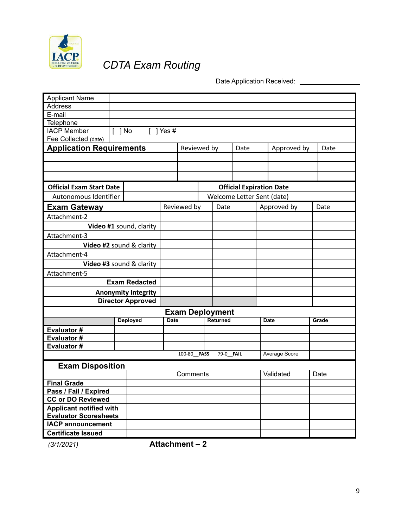

# *CDTA Exam Routing*

Date Application Received: \_\_\_\_\_\_\_\_\_\_\_\_\_\_\_\_

| <b>Applicant Name</b>           |      |                            |             |                        |                 |                                 |               |       |
|---------------------------------|------|----------------------------|-------------|------------------------|-----------------|---------------------------------|---------------|-------|
| <b>Address</b>                  |      |                            |             |                        |                 |                                 |               |       |
| E-mail                          |      |                            |             |                        |                 |                                 |               |       |
| Telephone                       |      |                            |             |                        |                 |                                 |               |       |
| <b>IACP Member</b>              | 1 No |                            | Yes #       |                        |                 |                                 |               |       |
| Fee Collected (date)            |      |                            |             |                        |                 |                                 |               |       |
|                                 |      |                            |             |                        |                 |                                 |               |       |
| <b>Application Requirements</b> |      |                            |             | Reviewed by            |                 | Date                            | Approved by   | Date  |
|                                 |      |                            |             |                        |                 |                                 |               |       |
|                                 |      |                            |             |                        |                 |                                 |               |       |
|                                 |      |                            |             |                        |                 |                                 |               |       |
| <b>Official Exam Start Date</b> |      |                            |             |                        |                 | <b>Official Expiration Date</b> |               |       |
| Autonomous Identifier           |      |                            |             |                        |                 | Welcome Letter Sent (date)      |               |       |
| <b>Exam Gateway</b>             |      |                            |             | Reviewed by            | Date            |                                 | Approved by   | Date  |
| Attachment-2                    |      |                            |             |                        |                 |                                 |               |       |
|                                 |      | Video #1 sound, clarity    |             |                        |                 |                                 |               |       |
| Attachment-3                    |      |                            |             |                        |                 |                                 |               |       |
| Video #2 sound & clarity        |      |                            |             |                        |                 |                                 |               |       |
| Attachment-4                    |      |                            |             |                        |                 |                                 |               |       |
| Video #3 sound & clarity        |      |                            |             |                        |                 |                                 |               |       |
| Attachment-5                    |      |                            |             |                        |                 |                                 |               |       |
|                                 |      | <b>Exam Redacted</b>       |             |                        |                 |                                 |               |       |
|                                 |      | <b>Anonymity Integrity</b> |             |                        |                 |                                 |               |       |
|                                 |      | <b>Director Approved</b>   |             |                        |                 |                                 |               |       |
|                                 |      |                            |             | <b>Exam Deployment</b> |                 |                                 |               |       |
|                                 |      | <b>Deployed</b>            | <b>Date</b> |                        | <b>Returned</b> |                                 | <b>Date</b>   | Grade |
| Evaluator#                      |      |                            |             |                        |                 |                                 |               |       |
| Evaluator#                      |      |                            |             |                        |                 |                                 |               |       |
| Evaluator#                      |      |                            |             |                        |                 |                                 |               |       |
|                                 |      |                            |             | 100-80 PASS            | 79-0 FAIL       |                                 | Average Score |       |
| <b>Exam Disposition</b>         |      |                            |             |                        |                 |                                 |               |       |
|                                 |      |                            |             | Comments               |                 |                                 | Validated     | Date  |
| <b>Final Grade</b>              |      |                            |             |                        |                 |                                 |               |       |
| Pass / Fail / Expired           |      |                            |             |                        |                 |                                 |               |       |
| <b>CC or DO Reviewed</b>        |      |                            |             |                        |                 |                                 |               |       |
| <b>Applicant notified with</b>  |      |                            |             |                        |                 |                                 |               |       |
| <b>Evaluator Scoresheets</b>    |      |                            |             |                        |                 |                                 |               |       |
| <b>IACP announcement</b>        |      |                            |             |                        |                 |                                 |               |       |
| <b>Certificate Issued</b>       |      |                            |             |                        |                 |                                 |               |       |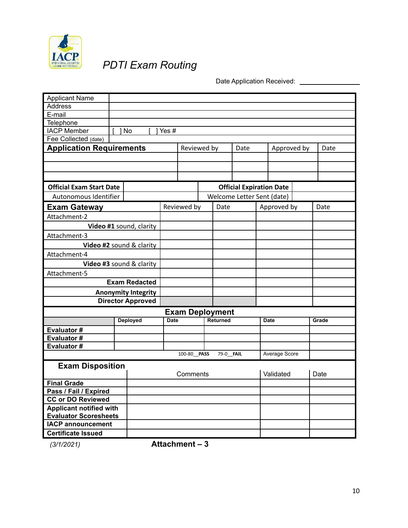

## *PDTI Exam Routing*

Date Application Received: \_\_\_\_\_\_\_\_\_\_\_\_\_\_\_\_\_

| <b>Applicant Name</b>           |      |                            |             |                        |                  |                                 |               |       |
|---------------------------------|------|----------------------------|-------------|------------------------|------------------|---------------------------------|---------------|-------|
| Address                         |      |                            |             |                        |                  |                                 |               |       |
| E-mail                          |      |                            |             |                        |                  |                                 |               |       |
| Telephone                       |      |                            |             |                        |                  |                                 |               |       |
| <b>IACP Member</b>              | 1 No |                            | Yes #       |                        |                  |                                 |               |       |
| Fee Collected (date)            |      |                            |             |                        |                  |                                 |               |       |
| <b>Application Requirements</b> |      |                            |             | Reviewed by            |                  | Date                            | Approved by   | Date  |
|                                 |      |                            |             |                        |                  |                                 |               |       |
|                                 |      |                            |             |                        |                  |                                 |               |       |
|                                 |      |                            |             |                        |                  |                                 |               |       |
| <b>Official Exam Start Date</b> |      |                            |             |                        |                  | <b>Official Expiration Date</b> |               |       |
| Autonomous Identifier           |      |                            |             |                        |                  | Welcome Letter Sent (date)      |               |       |
| <b>Exam Gateway</b>             |      |                            |             | Reviewed by            | Date             |                                 | Approved by   | Date  |
| Attachment-2                    |      |                            |             |                        |                  |                                 |               |       |
|                                 |      | Video #1 sound, clarity    |             |                        |                  |                                 |               |       |
| Attachment-3                    |      |                            |             |                        |                  |                                 |               |       |
| Video #2 sound & clarity        |      |                            |             |                        |                  |                                 |               |       |
| Attachment-4                    |      |                            |             |                        |                  |                                 |               |       |
| Video #3 sound & clarity        |      |                            |             |                        |                  |                                 |               |       |
| Attachment-5                    |      |                            |             |                        |                  |                                 |               |       |
|                                 |      | <b>Exam Redacted</b>       |             |                        |                  |                                 |               |       |
|                                 |      | <b>Anonymity Integrity</b> |             |                        |                  |                                 |               |       |
|                                 |      | <b>Director Approved</b>   |             |                        |                  |                                 |               |       |
|                                 |      |                            |             | <b>Exam Deployment</b> |                  |                                 |               |       |
|                                 |      | <b>Deployed</b>            | <b>Date</b> |                        | <b>Returned</b>  |                                 | <b>Date</b>   | Grade |
| Evaluator#                      |      |                            |             |                        |                  |                                 |               |       |
| Evaluator#                      |      |                            |             |                        |                  |                                 |               |       |
| Evaluator#                      |      |                            |             |                        |                  |                                 |               |       |
|                                 |      |                            |             | 100-80 PASS            | 79-0 <b>FAIL</b> |                                 | Average Score |       |
| <b>Exam Disposition</b>         |      |                            |             |                        |                  |                                 |               |       |
|                                 |      |                            |             | Comments               |                  |                                 | Validated     | Date  |
| <b>Final Grade</b>              |      |                            |             |                        |                  |                                 |               |       |
| Pass / Fail / Expired           |      |                            |             |                        |                  |                                 |               |       |
| <b>CC or DO Reviewed</b>        |      |                            |             |                        |                  |                                 |               |       |
| <b>Applicant notified with</b>  |      |                            |             |                        |                  |                                 |               |       |
| <b>Evaluator Scoresheets</b>    |      |                            |             |                        |                  |                                 |               |       |
| <b>IACP</b> announcement        |      |                            |             |                        |                  |                                 |               |       |
| <b>Certificate Issued</b>       |      |                            |             |                        |                  |                                 |               |       |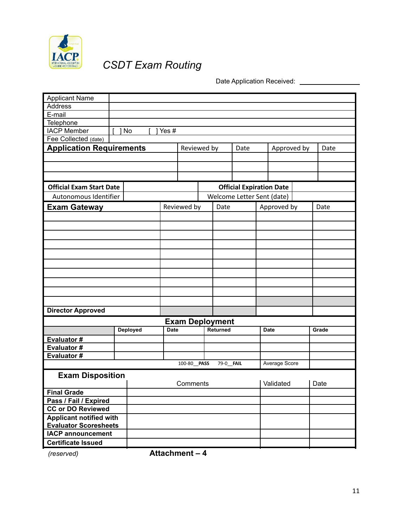

## *CSDT Exam Routing*

Date Application Received: \_\_\_\_\_\_\_\_\_\_\_\_\_\_\_

| <b>Applicant Name</b>           |  |                 |             |                                 |             |                  |      |                            |             |       |
|---------------------------------|--|-----------------|-------------|---------------------------------|-------------|------------------|------|----------------------------|-------------|-------|
| <b>Address</b>                  |  |                 |             |                                 |             |                  |      |                            |             |       |
| E-mail                          |  |                 |             |                                 |             |                  |      |                            |             |       |
| <b>Telephone</b>                |  |                 |             |                                 |             |                  |      |                            |             |       |
| <b>IACP Member</b>              |  | 1 No            | Yes #       |                                 |             |                  |      |                            |             |       |
| Fee Collected (date)            |  |                 |             |                                 |             |                  |      |                            |             |       |
| <b>Application Requirements</b> |  |                 |             |                                 | Reviewed by |                  | Date |                            | Approved by | Date  |
|                                 |  |                 |             |                                 |             |                  |      |                            |             |       |
|                                 |  |                 |             |                                 |             |                  |      |                            |             |       |
|                                 |  |                 |             |                                 |             |                  |      |                            |             |       |
| <b>Official Exam Start Date</b> |  |                 |             | <b>Official Expiration Date</b> |             |                  |      |                            |             |       |
| Autonomous Identifier           |  |                 |             |                                 |             |                  |      | Welcome Letter Sent (date) |             |       |
| <b>Exam Gateway</b>             |  |                 |             | Reviewed by                     |             | Date             |      | Approved by                |             | Date  |
|                                 |  |                 |             |                                 |             |                  |      |                            |             |       |
|                                 |  |                 |             |                                 |             |                  |      |                            |             |       |
|                                 |  |                 |             |                                 |             |                  |      |                            |             |       |
|                                 |  |                 |             |                                 |             |                  |      |                            |             |       |
|                                 |  |                 |             |                                 |             |                  |      |                            |             |       |
|                                 |  |                 |             |                                 |             |                  |      |                            |             |       |
|                                 |  |                 |             |                                 |             |                  |      |                            |             |       |
|                                 |  |                 |             |                                 |             |                  |      |                            |             |       |
|                                 |  |                 |             |                                 |             |                  |      |                            |             |       |
|                                 |  |                 |             |                                 |             |                  |      |                            |             |       |
|                                 |  |                 |             |                                 |             |                  |      |                            |             |       |
|                                 |  |                 |             |                                 |             |                  |      |                            |             |       |
| <b>Director Approved</b>        |  |                 |             |                                 |             |                  |      |                            |             |       |
|                                 |  |                 |             | <b>Exam Deployment</b>          |             |                  |      |                            |             |       |
|                                 |  | <b>Deployed</b> | <b>Date</b> |                                 |             | <b>Returned</b>  |      | <b>Date</b>                |             | Grade |
| Evaluator#                      |  |                 |             |                                 |             |                  |      |                            |             |       |
| Evaluator#                      |  |                 |             |                                 |             |                  |      |                            |             |       |
| Evaluator#                      |  |                 |             |                                 |             |                  |      |                            |             |       |
|                                 |  |                 |             | 100-80 PASS                     |             | 79-0 <b>FAIL</b> |      | Average Score              |             |       |
| <b>Exam Disposition</b>         |  |                 |             |                                 |             |                  |      |                            |             |       |
|                                 |  |                 |             | Comments                        |             |                  |      | Validated                  |             | Date  |
| <b>Final Grade</b>              |  |                 |             |                                 |             |                  |      |                            |             |       |
| Pass / Fail / Expired           |  |                 |             |                                 |             |                  |      |                            |             |       |
| <b>CC or DO Reviewed</b>        |  |                 |             |                                 |             |                  |      |                            |             |       |
| <b>Applicant notified with</b>  |  |                 |             |                                 |             |                  |      |                            |             |       |
| <b>Evaluator Scoresheets</b>    |  |                 |             |                                 |             |                  |      |                            |             |       |
| <b>IACP</b> announcement        |  |                 |             |                                 |             |                  |      |                            |             |       |
| <b>Certificate Issued</b>       |  |                 |             |                                 |             |                  |      |                            |             |       |
|                                 |  |                 |             |                                 |             |                  |      |                            |             |       |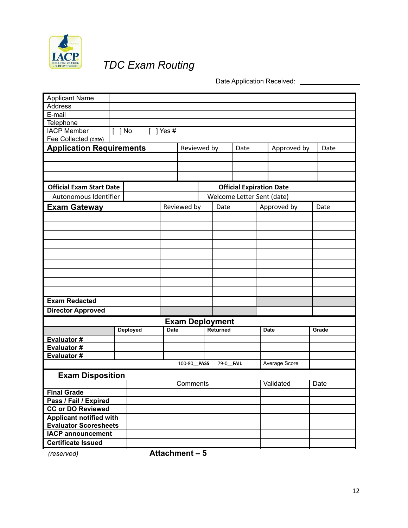

## *TDC Exam Routing*

Date Application Received: \_\_\_\_\_\_\_\_\_\_\_\_\_\_\_

| <b>Applicant Name</b>           |                 |             |                        |                 |      |                                 |               |  |       |
|---------------------------------|-----------------|-------------|------------------------|-----------------|------|---------------------------------|---------------|--|-------|
| <b>Address</b>                  |                 |             |                        |                 |      |                                 |               |  |       |
| E-mail                          |                 |             |                        |                 |      |                                 |               |  |       |
| Telephone                       |                 |             |                        |                 |      |                                 |               |  |       |
| <b>IACP Member</b>              | 1 No            | Yes#        |                        |                 |      |                                 |               |  |       |
| Fee Collected (date)            |                 |             |                        |                 |      |                                 |               |  |       |
| <b>Application Requirements</b> |                 |             | Reviewed by            |                 | Date |                                 | Approved by   |  | Date  |
|                                 |                 |             |                        |                 |      |                                 |               |  |       |
|                                 |                 |             |                        |                 |      |                                 |               |  |       |
|                                 |                 |             |                        |                 |      |                                 |               |  |       |
|                                 |                 |             |                        |                 |      |                                 |               |  |       |
| <b>Official Exam Start Date</b> |                 |             |                        |                 |      | <b>Official Expiration Date</b> |               |  |       |
| Autonomous Identifier           |                 |             |                        |                 |      | Welcome Letter Sent (date)      |               |  |       |
| Exam Gateway                    |                 |             | Reviewed by            | Date            |      | Approved by                     |               |  | Date  |
|                                 |                 |             |                        |                 |      |                                 |               |  |       |
|                                 |                 |             |                        |                 |      |                                 |               |  |       |
|                                 |                 |             |                        |                 |      |                                 |               |  |       |
|                                 |                 |             |                        |                 |      |                                 |               |  |       |
|                                 |                 |             |                        |                 |      |                                 |               |  |       |
|                                 |                 |             |                        |                 |      |                                 |               |  |       |
|                                 |                 |             |                        |                 |      |                                 |               |  |       |
|                                 |                 |             |                        |                 |      |                                 |               |  |       |
|                                 |                 |             |                        |                 |      |                                 |               |  |       |
|                                 |                 |             |                        |                 |      |                                 |               |  |       |
| <b>Exam Redacted</b>            |                 |             |                        |                 |      |                                 |               |  |       |
| <b>Director Approved</b>        |                 |             |                        |                 |      |                                 |               |  |       |
|                                 |                 |             | <b>Exam Deployment</b> |                 |      |                                 |               |  |       |
|                                 | <b>Deployed</b> | <b>Date</b> |                        | <b>Returned</b> |      | Date                            |               |  | Grade |
| Evaluator#                      |                 |             |                        |                 |      |                                 |               |  |       |
| <b>Evaluator#</b>               |                 |             |                        |                 |      |                                 |               |  |       |
| Evaluator #                     |                 |             |                        |                 |      |                                 |               |  |       |
|                                 |                 |             | 100-80 PASS            | 79-0_FAIL       |      |                                 | Average Score |  |       |
| <b>Exam Disposition</b>         |                 |             |                        |                 |      |                                 |               |  |       |
|                                 |                 |             | Comments               |                 |      | Validated                       |               |  | Date  |
| <b>Final Grade</b>              |                 |             |                        |                 |      |                                 |               |  |       |
| Pass / Fail / Expired           |                 |             |                        |                 |      |                                 |               |  |       |
| <b>CC or DO Reviewed</b>        |                 |             |                        |                 |      |                                 |               |  |       |
| <b>Applicant notified with</b>  |                 |             |                        |                 |      |                                 |               |  |       |
| <b>Evaluator Scoresheets</b>    |                 |             |                        |                 |      |                                 |               |  |       |
| <b>IACP announcement</b>        |                 |             |                        |                 |      |                                 |               |  |       |
| <b>Certificate Issued</b>       |                 |             |                        |                 |      |                                 |               |  |       |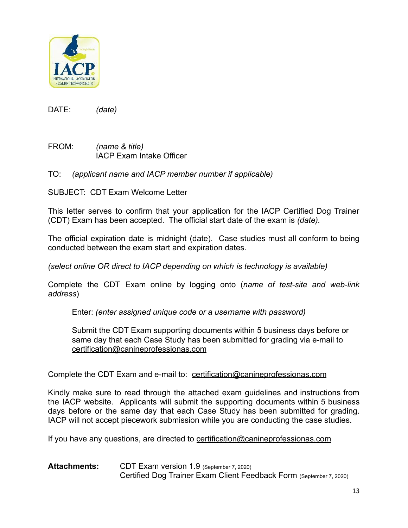

FROM: *(name & title)* IACP Exam Intake Officer

TO: *(applicant name and IACP member number if applicable)*

SUBJECT: CDT Exam Welcome Letter

This letter serves to confirm that your application for the IACP Certified Dog Trainer (CDT) Exam has been accepted. The official start date of the exam is *(date).*

The official expiration date is midnight (date). Case studies must all conform to being conducted between the exam start and expiration dates.

*(select online OR direct to IACP depending on which is technology is available)*

Complete the CDT Exam online by logging onto (*name of test-site and web-link address*)

Enter: *(enter assigned unique code or a username with password)*

Submit the CDT Exam supporting documents within 5 business days before or same day that each Case Study has been submitted for grading via e-mail to [certification@canineprofessionas.com](mailto:certification@canineprofessionas.com)

Complete the CDT Exam and e-mail to: [certification@canineprofessionas.com](mailto:certification@canineprofessionas.com)

Kindly make sure to read through the attached exam guidelines and instructions from the IACP website. Applicants will submit the supporting documents within 5 business days before or the same day that each Case Study has been submitted for grading. IACP will not accept piecework submission while you are conducting the case studies.

If you have any questions, are directed to [certification@canineprofessionas.com](mailto:certification@canineprofessionas.com)

**Attachments:** CDT Exam version 1.9 (September 7, 2020) Certified Dog Trainer Exam Client Feedback Form (September 7, 2020)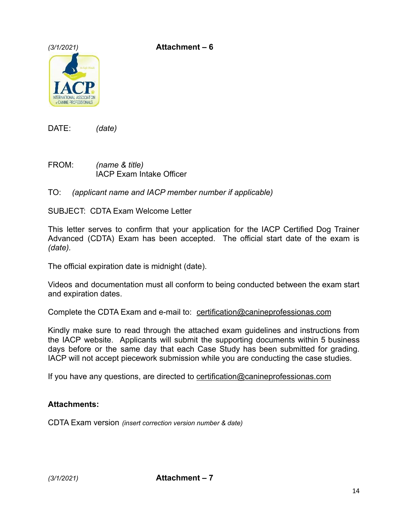*(3/1/2021)* **Attachment – 6**



DATE: *(date)*

FROM: *(name & title)* IACP Exam Intake Officer

TO: *(applicant name and IACP member number if applicable)*

SUBJECT: CDTA Exam Welcome Letter

This letter serves to confirm that your application for the IACP Certified Dog Trainer Advanced (CDTA) Exam has been accepted. The official start date of the exam is *(date).*

The official expiration date is midnight (date).

Videos and documentation must all conform to being conducted between the exam start and expiration dates.

Complete the CDTA Exam and e-mail to: [certification@canineprofessionas.com](mailto:certification@canineprofessionas.com)

Kindly make sure to read through the attached exam guidelines and instructions from the IACP website. Applicants will submit the supporting documents within 5 business days before or the same day that each Case Study has been submitted for grading. IACP will not accept piecework submission while you are conducting the case studies.

If you have any questions, are directed to [certification@canineprofessionas.com](mailto:certification@canineprofessionas.com)

#### **Attachments:**

CDTA Exam version *(insert correction version number & date)*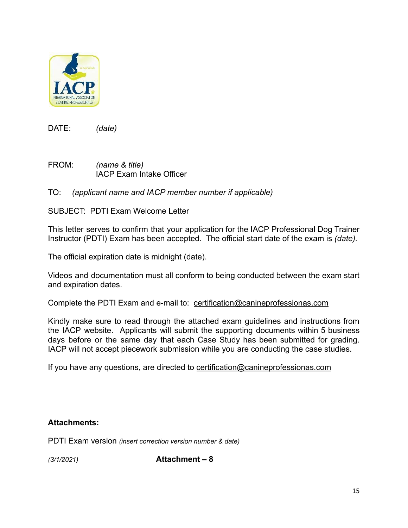

- FROM: *(name & title)* IACP Exam Intake Officer
- TO: *(applicant name and IACP member number if applicable)*

SUBJECT: PDTI Exam Welcome Letter

This letter serves to confirm that your application for the IACP Professional Dog Trainer Instructor (PDTI) Exam has been accepted. The official start date of the exam is *(date).*

The official expiration date is midnight (date).

Videos and documentation must all conform to being conducted between the exam start and expiration dates.

Complete the PDTI Exam and e-mail to: [certification@canineprofessionas.com](mailto:certification@canineprofessionas.com)

Kindly make sure to read through the attached exam guidelines and instructions from the IACP website. Applicants will submit the supporting documents within 5 business days before or the same day that each Case Study has been submitted for grading. IACP will not accept piecework submission while you are conducting the case studies.

If you have any questions, are directed to [certification@canineprofessionas.com](mailto:certification@canineprofessionas.com)

#### **Attachments:**

PDTI Exam version *(insert correction version number & date)*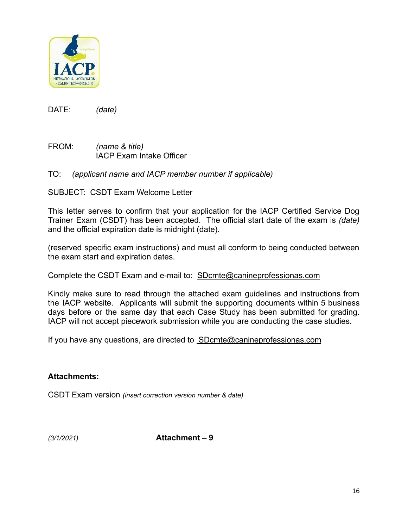

FROM: *(name & title)* IACP Exam Intake Officer

#### TO: *(applicant name and IACP member number if applicable)*

SUBJECT: CSDT Exam Welcome Letter

This letter serves to confirm that your application for the IACP Certified Service Dog Trainer Exam (CSDT) has been accepted. The official start date of the exam is *(date)* and the official expiration date is midnight (date).

(reserved specific exam instructions) and must all conform to being conducted between the exam start and expiration dates.

Complete the CSDT Exam and e-mail to: SDcmte[@canineprofessionas.com](mailto:certification@canineprofessionas.com)

Kindly make sure to read through the attached exam guidelines and instructions from the IACP website. Applicants will submit the supporting documents within 5 business days before or the same day that each Case Study has been submitted for grading. IACP will not accept piecework submission while you are conducting the case studies.

If you have any questions, are directed to [SDcmte@canineprofessionas.com](mailto:%20SDcmte@canineprofessionas.com)

#### **Attachments:**

CSDT Exam version *(insert correction version number & date)*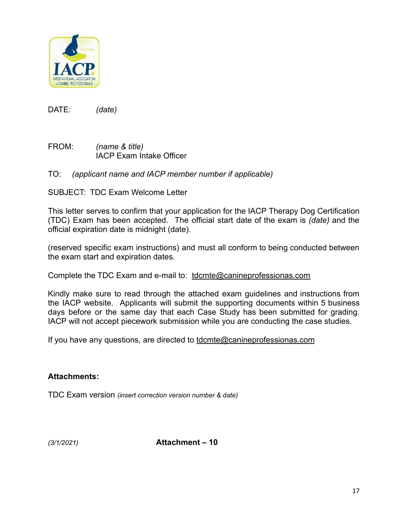

FROM: *(name & title)* IACP Exam Intake Officer

#### TO: *(applicant name and IACP member number if applicable)*

SUBJECT: TDC Exam Welcome Letter

This letter serves to confirm that your application for the IACP Therapy Dog Certification (TDC) Exam has been accepted. The official start date of the exam is *(date)* and the official expiration date is midnight (date).

(reserved specific exam instructions) and must all conform to being conducted between the exam start and expiration dates.

Complete the TDC Exam and e-mail to: [tdcmte@canineprofessionas.com](mailto:tdcmte@canineprofessionas.com)

Kindly make sure to read through the attached exam guidelines and instructions from the IACP website. Applicants will submit the supporting documents within 5 business days before or the same day that each Case Study has been submitted for grading. IACP will not accept piecework submission while you are conducting the case studies.

If you have any questions, are directed to [tdcmte@canineprofessionas.com](mailto:tdcmte@canineprofessionas.com)

#### **Attachments:**

TDC Exam version *(insert correction version number & date)*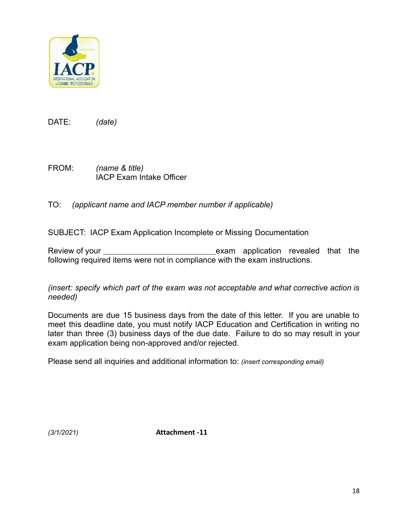

FROM: *(name & title)* IACP Exam Intake Officer

TO: *(applicant name and IACP member number if applicable)*

SUBJECT: IACP Exam Application Incomplete or Missing Documentation

Review of your <u>exam</u> exam application revealed that the following required items were not in compliance with the exam instructions.

*(insert: specify which part of the exam was not acceptable and what corrective action is needed)*

Documents are due 15 business days from the date of this letter. If you are unable to meet this deadline date, you must notify IACP Education and Certification in writing no later than three (3) business days of the due date. Failure to do so may result in your exam application being non-approved and/or rejected.

Please send all inquiries and additional information to: *(insert corresponding email)*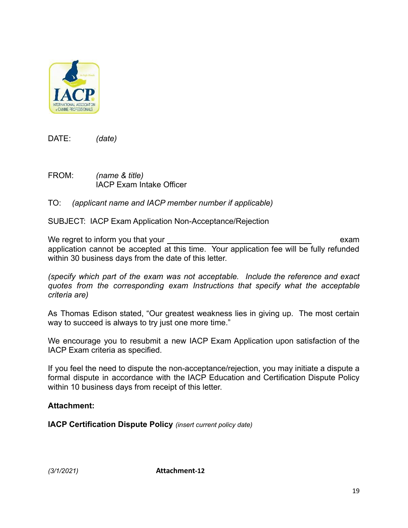

FROM: *(name & title)* IACP Exam Intake Officer

#### TO: *(applicant name and IACP member number if applicable)*

SUBJECT: IACP Exam Application Non-Acceptance/Rejection

We regret to inform you that your exam example of the state of the state of the state of the state of the state of the state of the state of the state of the state of the state of the state of the state of the state of the application cannot be accepted at this time. Your application fee will be fully refunded within 30 business days from the date of this letter.

*(specify which part of the exam was not acceptable. Include the reference and exact quotes from the corresponding exam Instructions that specify what the acceptable criteria are)*

As Thomas Edison stated, "Our greatest weakness lies in giving up. The most certain way to succeed is always to try just one more time."

We encourage you to resubmit a new IACP Exam Application upon satisfaction of the IACP Exam criteria as specified.

If you feel the need to dispute the non-acceptance/rejection, you may initiate a dispute a formal dispute in accordance with the IACP Education and Certification Dispute Policy within 10 business days from receipt of this letter.

#### **Attachment:**

**IACP Certification Dispute Policy** *(insert current policy date)*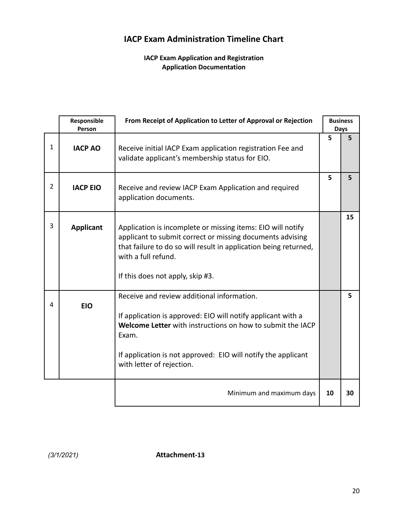### **IACP Exam Administration Timeline Chart**

#### **IACP Exam Application and Registration Application Documentation**

|                | Responsible<br>Person | From Receipt of Application to Letter of Approval or Rejection                                                                                                                                                                                                                  |    | <b>Business</b><br>Days |
|----------------|-----------------------|---------------------------------------------------------------------------------------------------------------------------------------------------------------------------------------------------------------------------------------------------------------------------------|----|-------------------------|
| $\mathbf{1}$   | <b>IACP AO</b>        | Receive initial IACP Exam application registration Fee and<br>validate applicant's membership status for EIO.                                                                                                                                                                   | 5  | 5                       |
| $\overline{2}$ | <b>IACP EIO</b>       | Receive and review IACP Exam Application and required<br>application documents.                                                                                                                                                                                                 | 5  | 5                       |
| 3              | <b>Applicant</b>      | Application is incomplete or missing items: EIO will notify<br>applicant to submit correct or missing documents advising<br>that failure to do so will result in application being returned,<br>with a full refund.<br>If this does not apply, skip #3.                         |    | 15                      |
| 4              | <b>EIO</b>            | Receive and review additional information.<br>If application is approved: EIO will notify applicant with a<br>Welcome Letter with instructions on how to submit the IACP<br>Exam.<br>If application is not approved: EIO will notify the applicant<br>with letter of rejection. |    | 5                       |
|                |                       | Minimum and maximum days                                                                                                                                                                                                                                                        | 10 | 30                      |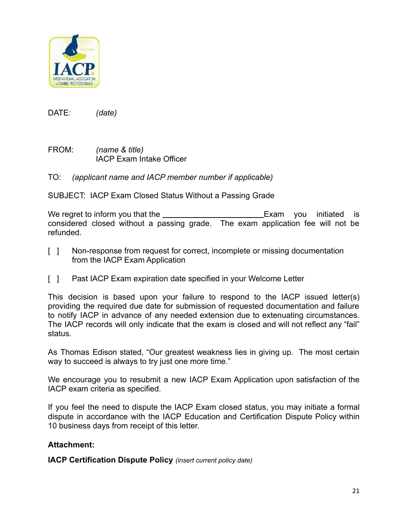

FROM: *(name & title)* IACP Exam Intake Officer

TO: *(applicant name and IACP member number if applicable)*

SUBJECT: IACP Exam Closed Status Without a Passing Grade

We regret to inform you that the Exam you initiated is considered closed without a passing grade. The exam application fee will not be refunded.

- [ ] Non-response from request for correct, incomplete or missing documentation from the IACP Exam Application
- [ ] Past IACP Exam expiration date specified in your Welcome Letter

This decision is based upon your failure to respond to the IACP issued letter(s) providing the required due date for submission of requested documentation and failure to notify IACP in advance of any needed extension due to extenuating circumstances. The IACP records will only indicate that the exam is closed and will not reflect any "fail" status.

As Thomas Edison stated, "Our greatest weakness lies in giving up. The most certain way to succeed is always to try just one more time."

We encourage you to resubmit a new IACP Exam Application upon satisfaction of the IACP exam criteria as specified.

If you feel the need to dispute the IACP Exam closed status, you may initiate a formal dispute in accordance with the IACP Education and Certification Dispute Policy within 10 business days from receipt of this letter.

#### **Attachment:**

**IACP Certification Dispute Policy** *(insert current policy date)*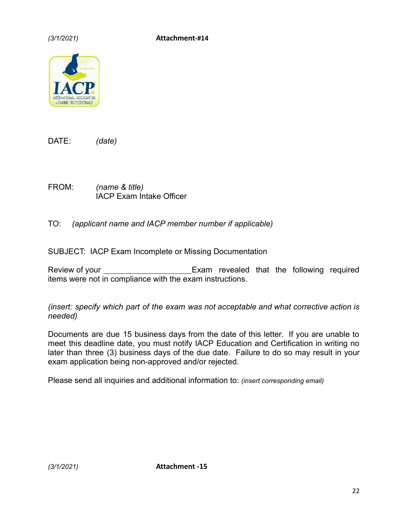

FROM: *(name & title)* IACP Exam Intake Officer

TO: *(applicant name and IACP member number if applicable)*

SUBJECT: IACP Exam Incomplete or Missing Documentation

Review of your \_\_\_\_\_\_\_\_\_\_\_\_\_\_\_\_\_\_\_\_\_\_\_\_\_\_Exam revealed that the following required items were not in compliance with the exam instructions.

*(insert: specify which part of the exam was not acceptable and what corrective action is needed)*

Documents are due 15 business days from the date of this letter. If you are unable to meet this deadline date, you must notify IACP Education and Certification in writing no later than three (3) business days of the due date. Failure to do so may result in your exam application being non-approved and/or rejected.

Please send all inquiries and additional information to: *(insert corresponding email)*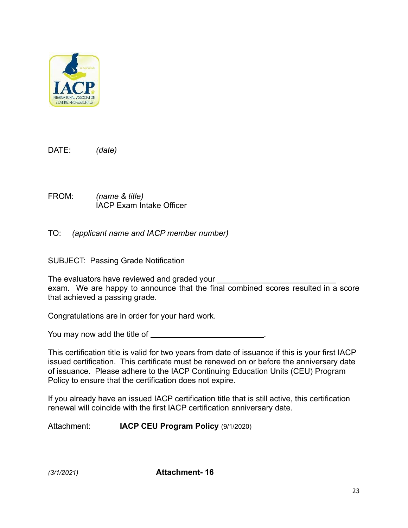

FROM: *(name & title)* IACP Exam Intake Officer

TO: *(applicant name and IACP member number)*

SUBJECT: Passing Grade Notification

The evaluators have reviewed and graded your exam. We are happy to announce that the final combined scores resulted in a score that achieved a passing grade.

Congratulations are in order for your hard work.

You may now add the title of .

This certification title is valid for two years from date of issuance if this is your first IACP issued certification. This certificate must be renewed on or before the anniversary date of issuance. Please adhere to the IACP Continuing Education Units (CEU) Program Policy to ensure that the certification does not expire.

If you already have an issued IACP certification title that is still active, this certification renewal will coincide with the first IACP certification anniversary date.

Attachment: **IACP CEU Program Policy** (9/1/2020)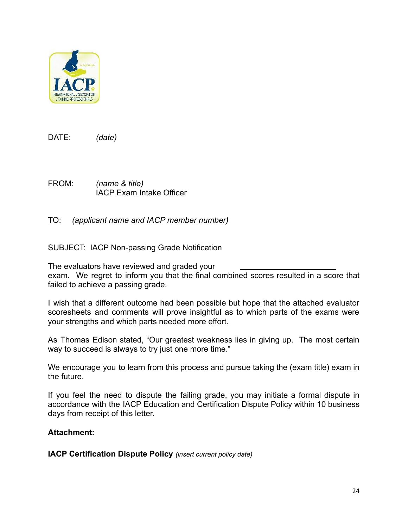

FROM: *(name & title)* IACP Exam Intake Officer

TO: *(applicant name and IACP member number)*

SUBJECT: IACP Non-passing Grade Notification

The evaluators have reviewed and graded your exam. We regret to inform you that the final combined scores resulted in a score that failed to achieve a passing grade.

I wish that a different outcome had been possible but hope that the attached evaluator scoresheets and comments will prove insightful as to which parts of the exams were your strengths and which parts needed more effort.

As Thomas Edison stated, "Our greatest weakness lies in giving up. The most certain way to succeed is always to try just one more time."

We encourage you to learn from this process and pursue taking the (exam title) exam in the future.

If you feel the need to dispute the failing grade, you may initiate a formal dispute in accordance with the IACP Education and Certification Dispute Policy within 10 business days from receipt of this letter.

#### **Attachment:**

**IACP Certification Dispute Policy** *(insert current policy date)*